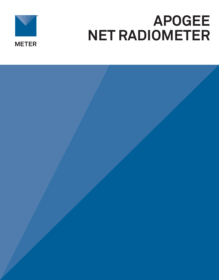



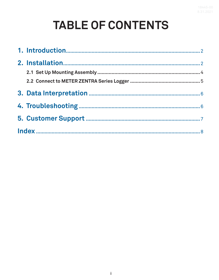# **TABLE OF CONTENTS**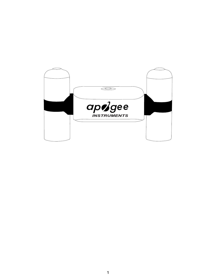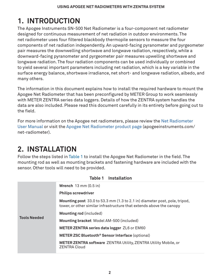## <span id="page-3-0"></span>**1. INTRODUCTION**

The Apogee Instruments SN-500 Net Radiometer is a four-component net radiometer designed for continuous measurement of net radiation in outdoor environments. The net radiometer uses four filtered blackbody thermopile sensors to measure the four components of net radiation independently. An upward-facing pyranometer and pyrgeometer pair measures the downwelling shortwave and longwave radiation, respectively, while a downward-facing pyranometer and pyrgeometer pair measures upwelling shortwave and longwave radiation. The four radiation components can be used individually or combined to yield several important parameters including net radiation, which is a key variable in the surface energy balance, shortwave irradiance, net short- and longwave radiation, albedo, and many others.

The information in this document explains how to install the required hardware to mount the Apogee Net Radiometer that has been preconfigured by METER Group to work seamlessly with METER ZENTRA series data loggers. Details of how the ZENTRA system handles the data are also included. Please read this document carefully in its entirety before going out to the field.

For more information on the Apogee net radiometers, please review the Net Radiometer [User Manual](https://www.apogeeinstruments.com/content/SN-500-manual.pdf) or visit the [Apogee Net Radiometer product page](http://apogeeinstruments.com/net-radiometer) (apogeeinstruments.com/ net-radiometer).

# **2. INSTALLATION**

Follow the steps listed in [Table 1](#page-3-1) to install the Apogee Net Radiometer in the field. The mounting rod as well as mounting brackets and fastening hardware are included with the sensor. Other tools will need to be provided.

|                     | Wrench $13 \text{ mm} (0.5 \text{ in})$                                                                                                            |  |  |
|---------------------|----------------------------------------------------------------------------------------------------------------------------------------------------|--|--|
|                     | <b>Philips screwdriver</b>                                                                                                                         |  |  |
|                     | Mounting post 33.0 to 53.3 mm (1.3 to 2.1 in) diameter post, pole, tripod,<br>tower, or other similar infrastructure that extends above the canopy |  |  |
|                     | Mounting rod (included)                                                                                                                            |  |  |
| <b>Tools Needed</b> | Mounting bracket Model AM-500 (included)                                                                                                           |  |  |
|                     | METER ZENTRA series data logger ZL6 or EM60                                                                                                        |  |  |
|                     | METER ZSC Bluetooth <sup>®</sup> Sensor Interface (optional)                                                                                       |  |  |
|                     | METER ZENTRA software ZENTRA Utility, ZENTRA Utility Mobile, or<br><b>ZENTRA Cloud</b>                                                             |  |  |

#### <span id="page-3-1"></span>**Table 1 Installation**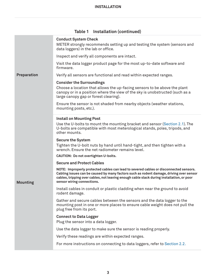### **Table 1 Installation (continued)**

<span id="page-4-0"></span>

|                 | <b>Conduct System Check</b><br>METER strongly recommends setting up and testing the system (sensors and<br>data loggers) in the lab or office.                                                                                                                                                              |
|-----------------|-------------------------------------------------------------------------------------------------------------------------------------------------------------------------------------------------------------------------------------------------------------------------------------------------------------|
|                 | Inspect and verify all components are intact.                                                                                                                                                                                                                                                               |
|                 | Visit the data logger product page for the most up-to-date software and<br>firmware.                                                                                                                                                                                                                        |
| Preparation     | Verify all sensors are functional and read within expected ranges.                                                                                                                                                                                                                                          |
|                 | <b>Consider the Surroundings</b><br>Choose a location that allows the up-facing sensors to be above the plant<br>canopy or in a position where the view of the sky is unobstructed (such as a<br>large canopy gap or forest clearing).                                                                      |
|                 | Ensure the sensor is not shaded from nearby objects (weather stations,<br>mounting posts, etc.).                                                                                                                                                                                                            |
|                 | Install on Mounting Post                                                                                                                                                                                                                                                                                    |
|                 | Use the U-bolts to mount the mounting bracket and sensor (Section 2.1). The<br>U-bolts are compatible with most meterological stands, poles, tripods, and<br>other mounts.                                                                                                                                  |
|                 | Secure the System                                                                                                                                                                                                                                                                                           |
|                 | Tighten the U-bolt nuts by hand until hand-tight, and then tighten with a<br>wrench. Ensure the net radiometer remains level.                                                                                                                                                                               |
|                 | CAUTION: Do not overtighten U-bolts.                                                                                                                                                                                                                                                                        |
|                 | <b>Secure and Protect Cables</b>                                                                                                                                                                                                                                                                            |
| <b>Mounting</b> | NOTE: Improperly protected cables can lead to severed cables or disconnected sensors.<br>Cabling issues can be caused by many factors such as rodent damage, driving over sensor<br>cables, tripping over cables, not leaving enough cable slack during installation, or poor<br>sensor wiring connections. |
|                 | Install cables in conduit or plastic cladding when near the ground to avoid<br>rodent damage.                                                                                                                                                                                                               |
|                 | Gather and secure cables between the sensors and the data logger to the<br>mounting post in one or more places to ensure cable weight does not pull the<br>plug free from its port.                                                                                                                         |
|                 | <b>Connect to Data Logger</b>                                                                                                                                                                                                                                                                               |
|                 | Plug the sensor into a data logger.                                                                                                                                                                                                                                                                         |
|                 | Use the data logger to make sure the sensor is reading properly.                                                                                                                                                                                                                                            |
|                 | Verify these readings are within expected ranges.                                                                                                                                                                                                                                                           |
|                 | For more instructions on connecting to data loggers, refer to Section 2.2.                                                                                                                                                                                                                                  |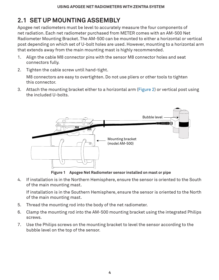### <span id="page-5-1"></span><span id="page-5-0"></span>**2.1 SET UP MOUNTING ASSEMBLY**

Apogee net radiometers must be level to accurately measure the four components of net radiation. Each net radiometer purchased from METER comes with an AM-500 Net Radiometer Mounting Bracket. The AM-500 can be mounted to either a horizontal or vertical post depending on which set of U-bolt holes are used. However, mounting to a horizontal arm that extends away from the main mounting mast is highly recommended.

- 1. Align the cable M8 connector pins with the sensor M8 connector holes and seat connectors fully.
- 2. Tighten the cable screw until hand-tight.

M8 connectors are easy to overtighten. Do not use pliers or other tools to tighten this connector.

3. Attach the mounting bracket either to a horizontal arm [\(Figure 2](#page-6-2)) or vertical post using the included U-bolts.





4. If installation is in the Northern Hemisphere, ensure the sensor is oriented to the South of the main mounting mast.

If installation is in the Southern Hemisphere, ensure the sensor is oriented to the North of the main mounting mast.

- 5. Thread the mounting rod into the body of the net radiometer.
- 6. Clamp the mounting rod into the AM-500 mounting bracket using the integrated Philips screws.
- 7. Use the Philips screws on the mounting bracket to level the sensor according to the bubble level on the top of the sensor.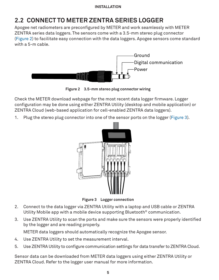#### **Installation**

### <span id="page-6-1"></span><span id="page-6-0"></span>**2.2 CONNECT TO METER ZENTRA SERIES LOGGER**

Apogee net radiometers are preconfigured by METER and work seamlessly with METER ZENTRA series data loggers. The sensors come with a 3.5-mm stereo plug connector ([Figure 2](#page-6-2)) to facilitate easy connection with the data loggers. Apogee sensors come standard with a 5-m cable.



**Figure 2 3.5-mm stereo plug connector wiring**

Check the METER download webpage for the most recent data logger firmware. Logger configuration may be done using either ZENTRA Utility (desktop and mobile application) or ZENTRA Cloud (web-based application for cell-enabled ZENTRA data loggers).

1. Plug the stereo plug connector into one of the sensor ports on the logger [\(Figure 3\)](#page-6-3).

<span id="page-6-3"></span><span id="page-6-2"></span>

**Figure 3 Logger connection**

- 2. Connect to the data logger via ZENTRA Utility with a laptop and USB cable or ZENTRA Utility Mobile app with a mobile device supporting Bluetooth® communication.
- 3. Use ZENTRA Utility to scan the ports and make sure the sensors were properly identified by the logger and are reading properly.

METER data loggers should automatically recognize the Apogee sensor.

- 4. Use ZENTRA Utility to set the measurement interval.
- 5. Use ZENTRA Utility to configure communication settings for data transfer to ZENTRA Cloud.

Sensor data can be downloaded from METER data loggers using either ZENTRA Utility or ZENTRA Cloud. Refer to the logger user manual for more information.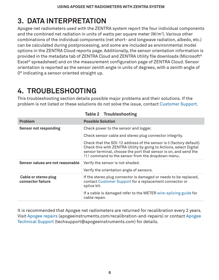### <span id="page-7-0"></span>**3. DATA INTERPRETATION**

Apogee net radiometers used with the ZENTRA system report the four individual components and the combined net radiation in units of watts per square meter  $(W/m<sup>2</sup>)$ . Various other combinations of the individual components (net short- and longwave radiation, albedo, etc.) can be calculated during postprocessing, and some are included as environmental model options in the ZENTRA Cloud reports page. Additionally, the sensor orientation information is provided in the metadata tab of ZENTRA Cloud and ZENTRA Utility file downloads (Microsoft® Excel® spreadsheet) and on the measurement configuration page of ZENTRA Cloud. Sensor orientation is reported as the sensor zenith angle in units of degrees, with a zenith angle of 0° indicating a sensor oriented straight up.

### **4. TROUBLESHOOTING**

This troubleshooting section details possible major problems and their solutions. If the problem is not listed or these solutions do not solve the issue, contact [Customer Support](#page-8-1).

| Problem                                   | <b>Possible Solution</b>                                                                                                                                                                                                                                           |
|-------------------------------------------|--------------------------------------------------------------------------------------------------------------------------------------------------------------------------------------------------------------------------------------------------------------------|
| Sensor not responding                     | Check power to the sensor and logger.                                                                                                                                                                                                                              |
|                                           | Check sensor cable and stereo plug connector integrity.                                                                                                                                                                                                            |
|                                           | Check that the SDI-12 address of the sensor is 0 (factory default).<br>Check this with ZENTRA Utility by going to Actions, select Digital<br>sensor terminal, choose the port that sensor is on, and send the<br>?I! command to the sensor from the dropdown menu. |
| Sensor values are not reasonable          | Verify the sensor is not shaded.                                                                                                                                                                                                                                   |
|                                           | Verify the orientation angle of sensors.                                                                                                                                                                                                                           |
| Cable or stereo plug<br>connector failure | If the stereo plug connector is damaged or needs to be replaced,<br>contact Customer Support for a replacement connector or<br>splice kit.                                                                                                                         |
|                                           | If a cable is damaged refer to the METER wire-splicing guide for<br>cable repair.                                                                                                                                                                                  |

### **Table 2 Troubleshooting**

It is recommended that Apogee net radiometers are returned for recalibration every 2 years. Visit [Apogee repairs](https://www.apogeeinstruments.com/recalibration-and-repairs/) (apogeeinstruments.com/recalibration-and-repairs) or contact [Apogee](mailto:techsupport%40apogeeinstruments.com?subject=)  [Technical Support](mailto:techsupport%40apogeeinstruments.com?subject=) (techsupport@apogeeinstruments.com) for details.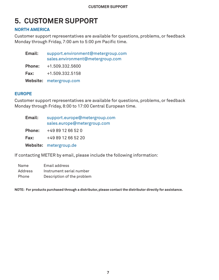### <span id="page-8-1"></span><span id="page-8-0"></span>**5. CUSTOMER SUPPORT**

#### **NORTH AMERICA**

Customer support representatives are available for questions, problems, or feedback Monday through Friday, 7:00 am to 5:00 pm Pacific time.

| Email:        | support.environment@metergroup.com<br>sales.environment@metergroup.com |
|---------------|------------------------------------------------------------------------|
| <b>Phone:</b> | +1.509.332.5600                                                        |
| Fax:          | +1.509.332.5158                                                        |
|               | Website: metergroup.com                                                |

#### **EUROPE**

Customer support representatives are available for questions, problems, or feedback Monday through Friday, 8:00 to 17:00 Central European time.

| Email: | support.europe@metergroup.com<br>sales.europe@metergroup.com |
|--------|--------------------------------------------------------------|
| Phone: | +49 89 12 66 52 0                                            |
| Fax:   | $+498912665220$                                              |
|        | Website: metergroup.de                                       |

If contacting METER by email, please include the following information:

| Name    | Email address              |
|---------|----------------------------|
| Address | Instrument serial number   |
| Phone   | Description of the problem |

**NOTE: For products purchased through a distributor, please contact the distributor directly for assistance.**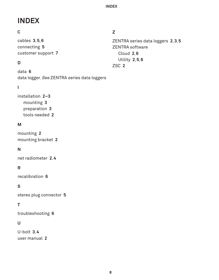## <span id="page-9-0"></span>**INDEX**

### **C**

cables **[3](#page-4-0)**, **[5](#page-6-0)**, **[6](#page-7-0)** connecting **[5](#page-6-0)** customer support **[7](#page-8-0)**

### **D**

data **[6](#page-7-0)** data logger. See ZENTRA series data loggers

#### **I**

installation **[2](#page-3-0)[–3](#page-4-0)** mounting **[3](#page-4-0)** preparation **[3](#page-4-0)** tools needed **[2](#page-3-0)**

### **M**

mounting **[2](#page-3-0)** mounting bracket **[2](#page-3-0)**

### **N**

net radiometer **[2](#page-3-0)**, **[4](#page-5-0)**

### **R**

recalibration **[6](#page-7-0)**

### **S**

stereo plug connector **[5](#page-6-0)**

### **T**

troubleshooting **[6](#page-7-0)**

#### **U**

U-bolt **[3](#page-4-0)**, **[4](#page-5-0)** user manual **[2](#page-3-0)** **Z**

ZENTRA series data loggers **[2](#page-3-0)**, **[3](#page-4-0)**, **[5](#page-6-0)** ZENTRA software Cloud **[2](#page-3-0)**, **[6](#page-7-0)** Utility **[2](#page-3-0)**, **[5](#page-6-0)**, **[6](#page-7-0)** ZSC **[2](#page-3-0)**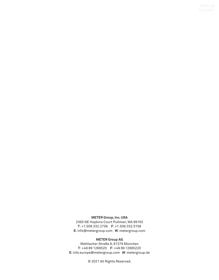#### **METER Group, Inc. USA**

2365 NE Hopkins Court Pullman, WA 99163 **T**: +1.509.332.2756 **F**: +1.509.332.5158 **E**: info@metergroup.com **W**: metergroup.com

#### **METER Group AG**

Mettlacher Straße 8, 81379 München **T**: +49 89 1266520 **F**: +49 89 12665220 **E**: info.europe@metergroup.com **W**: metergroup.de

© 2021 All Rights Reserved.